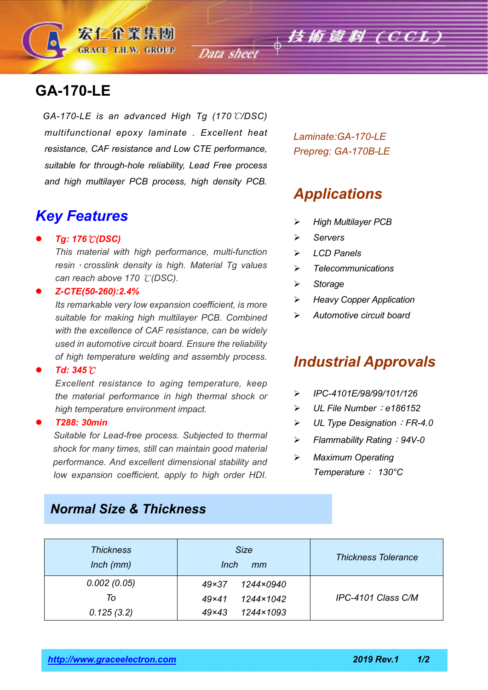# **GA-170-LE**

*GA-170-LE is an advanced High Tg (170*℃*/DSC) multifunctional epoxy laminate . Excellent heat resistance, CAF resistance and Low CTE performance, suitable for through-hole reliability, Lead Free process and high multilayer PCB process, high density PCB.*

宏仁企業集團 **GRACE T.H.W. GROUP** 

## *Key Features*

#### *Tg: 176*℃*(DSC)*

*This material with high performance, multi-function resin*,*crosslink density is high. Material Tg values can reach above 170* ℃*(DSC).*

#### *Z-CTE(50-260):2.4%*

*Its remarkable very low expansion coefficient, is more suitable for making high multilayer PCB. Combined with the excellence of CAF resistance, can be widely used in automotive circuit board. Ensure the reliability of high temperature welding and assembly process.*

#### *Td: 345*℃

*Excellent resistance to aging temperature, keep the material performance in high thermal shock or high temperature environment impact.*

#### *T288: 30min*

 *Suitable for Lead-free process. Subjected to thermal shock for many times, still can maintain good material performance. And excellent dimensional stability and low expansion coefficient, apply to high order HDI.*

*Laminate:GA-170-LE Prepreg: GA-170B-LE*

# *Applications*

- *High Multilayer PCB*
- *Servers*
- *LCD Panels*
- *Telecommunications*
- *Storage*
- *Heavy Copper Application*
- *Automotive circuit board*

### *Industrial Approvals*

- *IPC-4101E/98/99/101/126*
- *UL File Number*:*e186152*
- *UL Type Designation*:*FR-4.0*
- *Flammability Rating*:*94V-0*
- *Maximum Operating Temperature*: *130°C*

### *Normal Size & Thickness*

| <b>Thickness</b><br>$lnch$ ( $mm$ ) | <b>Size</b><br>Inch<br>mm | <b>Thickness Tolerance</b> |
|-------------------------------------|---------------------------|----------------------------|
| 0.002(0.05)                         | 1244×0940<br>49×37        |                            |
| To                                  | 1244×1042<br>$49\times41$ | IPC-4101 Class C/M         |
| 0.125(3.2)                          | 1244×1093<br>$49\times43$ |                            |